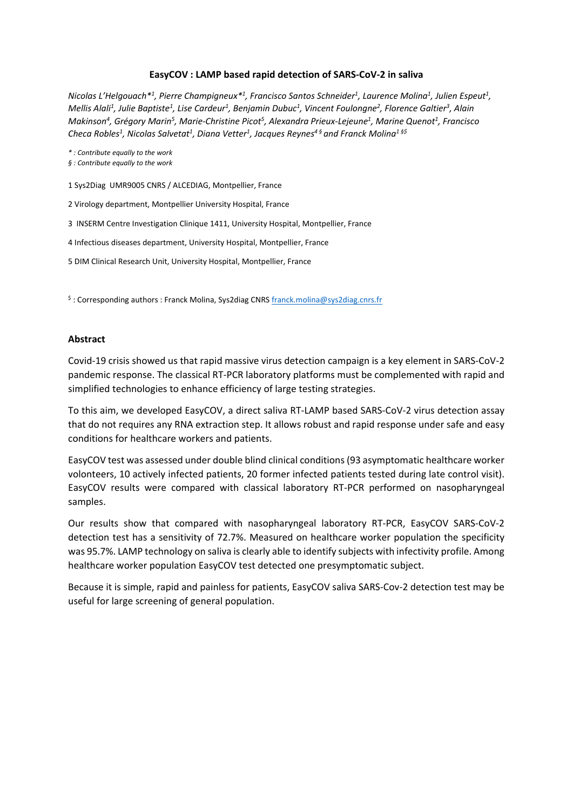#### **EasyCOV : LAMP based rapid detection of SARS‐CoV‐2 in saliva**

*Nicolas L'Helgouach\*1 , Pierre Champigneux\*1 , Francisco Santos Schneider1 , Laurence Molina1 , Julien Espeut1 , Mellis Alali1 , Julie Baptiste1 , Lise Cardeur1 , Benjamin Dubuc1 , Vincent Foulongne2 , Florence Galtier3 , Alain Makinson4 , Grégory Marin5 , Marie‐Christine Picot5 , Alexandra Prieux‐Lejeune1 , Marine Quenot1 , Francisco*  Checa Robles<sup>1</sup>, Nicolas Salvetat<sup>1</sup>, Diana Vetter<sup>1</sup>, Jacques Reynes<sup>4§</sup> and Franck Molina<sup>1§\$</sup>

*\* : Contribute equally to the work* 

- *§ : Contribute equally to the work*
- 1 Sys2Diag UMR9005 CNRS / ALCEDIAG, Montpellier, France
- 2 Virology department, Montpellier University Hospital, France
- 3 INSERM Centre Investigation Clinique 1411, University Hospital, Montpellier, France
- 4 Infectious diseases department, University Hospital, Montpellier, France
- 5 DIM Clinical Research Unit, University Hospital, Montpellier, France

\$: Corresponding authors: Franck Molina, Sys2diag CNRS franck.molina@sys2diag.cnrs.fr

#### **Abstract**

Covid‐19 crisis showed us that rapid massive virus detection campaign is a key element in SARS‐CoV‐2 pandemic response. The classical RT‐PCR laboratory platforms must be complemented with rapid and simplified technologies to enhance efficiency of large testing strategies.

To this aim, we developed EasyCOV, a direct saliva RT‐LAMP based SARS‐CoV‐2 virus detection assay that do not requires any RNA extraction step. It allows robust and rapid response under safe and easy conditions for healthcare workers and patients.

EasyCOV test was assessed under double blind clinical conditions (93 asymptomatic healthcare worker volonteers, 10 actively infected patients, 20 former infected patients tested during late control visit). EasyCOV results were compared with classical laboratory RT‐PCR performed on nasopharyngeal samples.

Our results show that compared with nasopharyngeal laboratory RT‐PCR, EasyCOV SARS‐CoV‐2 detection test has a sensitivity of 72.7%. Measured on healthcare worker population the specificity was 95.7%. LAMP technology on saliva is clearly able to identify subjects with infectivity profile. Among healthcare worker population EasyCOV test detected one presymptomatic subject.

Because it is simple, rapid and painless for patients, EasyCOV saliva SARS‐Cov‐2 detection test may be useful for large screening of general population.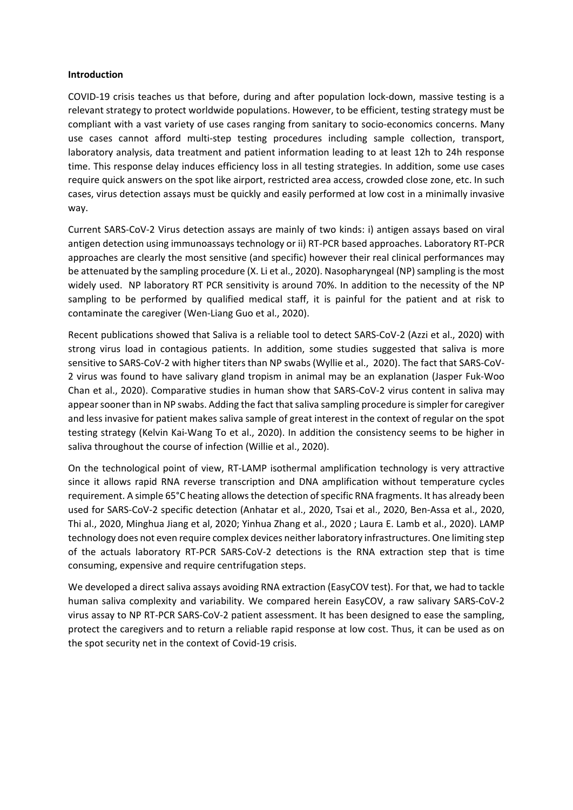#### **Introduction**

COVID‐19 crisis teaches us that before, during and after population lock‐down, massive testing is a relevant strategy to protect worldwide populations. However, to be efficient, testing strategy must be compliant with a vast variety of use cases ranging from sanitary to socio-economics concerns. Many use cases cannot afford multi-step testing procedures including sample collection, transport, laboratory analysis, data treatment and patient information leading to at least 12h to 24h response time. This response delay induces efficiency loss in all testing strategies. In addition, some use cases require quick answers on the spot like airport, restricted area access, crowded close zone, etc. In such cases, virus detection assays must be quickly and easily performed at low cost in a minimally invasive way.

Current SARS‐CoV‐2 Virus detection assays are mainly of two kinds: i) antigen assays based on viral antigen detection using immunoassays technology or ii) RT‐PCR based approaches. Laboratory RT‐PCR approaches are clearly the most sensitive (and specific) however their real clinical performances may be attenuated by the sampling procedure (X. Li et al., 2020). Nasopharyngeal (NP) sampling is the most widely used. NP laboratory RT PCR sensitivity is around 70%. In addition to the necessity of the NP sampling to be performed by qualified medical staff, it is painful for the patient and at risk to contaminate the caregiver (Wen‐Liang Guo et al., 2020).

Recent publications showed that Saliva is a reliable tool to detect SARS‐CoV‐2 (Azzi et al., 2020) with strong virus load in contagious patients. In addition, some studies suggested that saliva is more sensitive to SARS-CoV-2 with higher titers than NP swabs (Wyllie et al., 2020). The fact that SARS-CoV-2 virus was found to have salivary gland tropism in animal may be an explanation (Jasper Fuk‐Woo Chan et al., 2020). Comparative studies in human show that SARS‐CoV‐2 virus content in saliva may appear sooner than in NP swabs. Adding the fact that saliva sampling procedure is simpler for caregiver and less invasive for patient makes saliva sample of great interest in the context of regular on the spot testing strategy (Kelvin Kai‐Wang To et al., 2020). In addition the consistency seems to be higher in saliva throughout the course of infection (Willie et al., 2020).

On the technological point of view, RT-LAMP isothermal amplification technology is very attractive since it allows rapid RNA reverse transcription and DNA amplification without temperature cycles requirement. A simple 65°C heating allows the detection of specific RNA fragments. It has already been used for SARS-CoV-2 specific detection (Anhatar et al., 2020, Tsai et al., 2020, Ben-Assa et al., 2020, Thi al., 2020, Minghua Jiang et al, 2020; Yinhua Zhang et al., 2020 ; Laura E. Lamb et al., 2020). LAMP technology does not even require complex devices neither laboratory infrastructures. One limiting step of the actuals laboratory RT‐PCR SARS‐CoV‐2 detections is the RNA extraction step that is time consuming, expensive and require centrifugation steps.

We developed a direct saliva assays avoiding RNA extraction (EasyCOV test). For that, we had to tackle human saliva complexity and variability. We compared herein EasyCOV, a raw salivary SARS-CoV-2 virus assay to NP RT‐PCR SARS‐CoV‐2 patient assessment. It has been designed to ease the sampling, protect the caregivers and to return a reliable rapid response at low cost. Thus, it can be used as on the spot security net in the context of Covid‐19 crisis.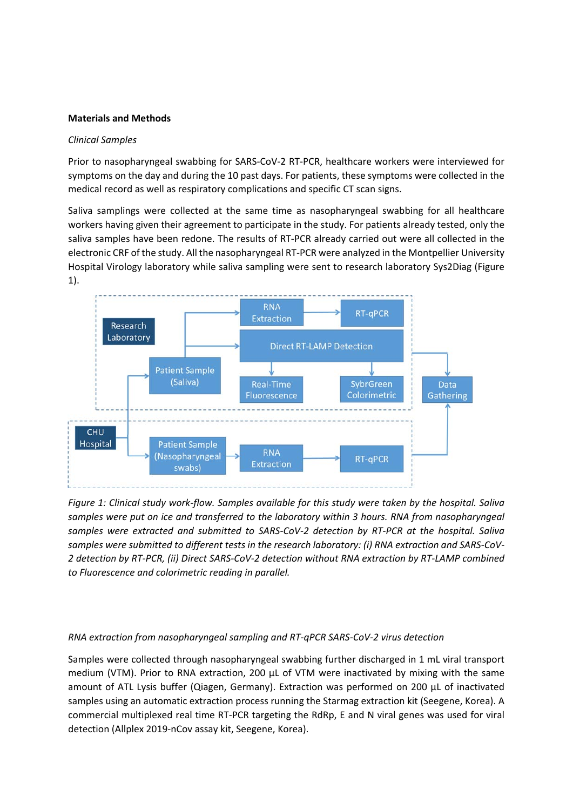#### **Materials and Methods**

#### *Clinical Samples*

Prior to nasopharyngeal swabbing for SARS‐CoV‐2 RT‐PCR, healthcare workers were interviewed for symptoms on the day and during the 10 past days. For patients, these symptoms were collected in the medical record as well as respiratory complications and specific CT scan signs.

Saliva samplings were collected at the same time as nasopharyngeal swabbing for all healthcare workers having given their agreement to participate in the study. For patients already tested, only the saliva samples have been redone. The results of RT-PCR already carried out were all collected in the electronic CRF of the study. All the nasopharyngeal RT‐PCR were analyzed in the Montpellier University Hospital Virology laboratory while saliva sampling were sent to research laboratory Sys2Diag (Figure



*Figure 1: Clinical study work‐flow. Samples available for this study were taken by the hospital. Saliva samples were put on ice and transferred to the laboratory within 3 hours. RNA from nasopharyngeal samples were extracted and submitted to SARS‐CoV‐2 detection by RT‐PCR at the hospital. Saliva samples were submitted to different tests in the research laboratory: (i) RNA extraction and SARS‐CoV‐ 2 detection by RT‐PCR, (ii) Direct SARS‐CoV‐2 detection without RNA extraction by RT‐LAMP combined to Fluorescence and colorimetric reading in parallel.* 

## *RNA extraction from nasopharyngeal sampling and RT‐qPCR SARS‐CoV‐2 virus detection*

Samples were collected through nasopharyngeal swabbing further discharged in 1 mL viral transport medium (VTM). Prior to RNA extraction, 200  $\mu$ L of VTM were inactivated by mixing with the same amount of ATL Lysis buffer (Qiagen, Germany). Extraction was performed on 200 µL of inactivated samples using an automatic extraction process running the Starmag extraction kit (Seegene, Korea). A commercial multiplexed real time RT‐PCR targeting the RdRp, E and N viral genes was used for viral detection (Allplex 2019‐nCov assay kit, Seegene, Korea).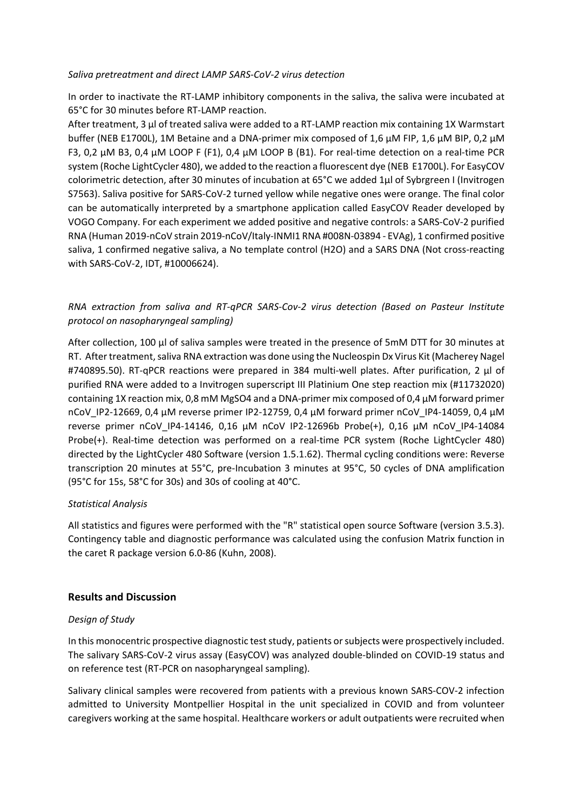#### *Saliva pretreatment and direct LAMP SARS‐CoV‐2 virus detection*

In order to inactivate the RT‐LAMP inhibitory components in the saliva, the saliva were incubated at 65°C for 30 minutes before RT‐LAMP reaction.

After treatment, 3 µl of treated saliva were added to a RT-LAMP reaction mix containing 1X Warmstart buffer (NEB E1700L), 1M Betaine and a DNA‐primer mix composed of 1,6 µM FIP, 1,6 µM BIP, 0,2 µM F3, 0,2 µM B3, 0,4 µM LOOP F (F1), 0,4 µM LOOP B (B1). For real-time detection on a real-time PCR system (Roche LightCycler 480), we added to the reaction a fluorescent dye (NEB E1700L). For EasyCOV colorimetric detection, after 30 minutes of incubation at 65°C we added 1µl of Sybrgreen I (Invitrogen S7563). Saliva positive for SARS‐CoV‐2 turned yellow while negative ones were orange. The final color can be automatically interpreted by a smartphone application called EasyCOV Reader developed by VOGO Company. For each experiment we added positive and negative controls: a SARS‐CoV‐2 purified RNA (Human 2019‐nCoV strain 2019‐nCoV/Italy‐INMI1 RNA #008N‐03894 ‐ EVAg), 1 confirmed positive saliva, 1 confirmed negative saliva, a No template control (H2O) and a SARS DNA (Not cross-reacting with SARS‐CoV‐2, IDT, #10006624).

## *RNA extraction from saliva and RT‐qPCR SARS‐Cov‐2 virus detection (Based on Pasteur Institute protocol on nasopharyngeal sampling)*

After collection, 100 µl of saliva samples were treated in the presence of 5mM DTT for 30 minutes at RT. After treatment, saliva RNA extraction was done using the Nucleospin Dx Virus Kit (Macherey Nagel #740895.50). RT-qPCR reactions were prepared in 384 multi-well plates. After purification, 2 µl of purified RNA were added to a Invitrogen superscript III Platinium One step reaction mix (#11732020) containing 1X reaction mix, 0,8 mM MgSO4 and a DNA‐primer mix composed of 0,4 µM forward primer nCoV\_IP2‐12669, 0,4 µM reverse primer IP2‐12759, 0,4 µM forward primer nCoV\_IP4‐14059, 0,4 µM reverse primer nCoV\_IP4‐14146, 0,16 µM nCoV IP2‐12696b Probe(+), 0,16 µM nCoV\_IP4‐14084 Probe(+). Real‐time detection was performed on a real‐time PCR system (Roche LightCycler 480) directed by the LightCycler 480 Software (version 1.5.1.62). Thermal cycling conditions were: Reverse transcription 20 minutes at 55°C, pre‐Incubation 3 minutes at 95°C, 50 cycles of DNA amplification (95°C for 15s, 58°C for 30s) and 30s of cooling at 40°C.

## *Statistical Analysis*

All statistics and figures were performed with the "R" statistical open source Software (version 3.5.3). Contingency table and diagnostic performance was calculated using the confusion Matrix function in the caret R package version 6.0‐86 (Kuhn, 2008).

## **Results and Discussion**

## *Design of Study*

In this monocentric prospective diagnostic test study, patients or subjects were prospectively included. The salivary SARS‐CoV‐2 virus assay (EasyCOV) was analyzed double‐blinded on COVID‐19 status and on reference test (RT‐PCR on nasopharyngeal sampling).

Salivary clinical samples were recovered from patients with a previous known SARS‐COV‐2 infection admitted to University Montpellier Hospital in the unit specialized in COVID and from volunteer caregivers working at the same hospital. Healthcare workers or adult outpatients were recruited when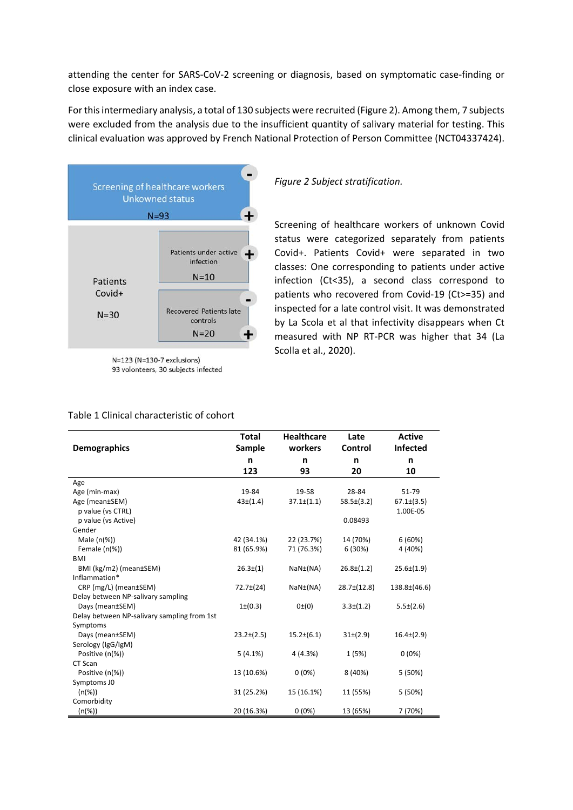attending the center for SARS‐CoV‐2 screening or diagnosis, based on symptomatic case‐finding or close exposure with an index case.

For this intermediary analysis, a total of 130 subjects were recruited (Figure 2). Among them, 7 subjects were excluded from the analysis due to the insufficient quantity of salivary material for testing. This clinical evaluation was approved by French National Protection of Person Committee (NCT04337424).



 $N=123$  (N=130-7 exclusions) 93 volonteers, 30 subjects infected

*Figure 2 Subject stratification.* 

Screening of healthcare workers of unknown Covid status were categorized separately from patients Covid+. Patients Covid+ were separated in two classes: One corresponding to patients under active infection (Ct<35), a second class correspond to patients who recovered from Covid-19 (Ct>=35) and inspected for a late control visit. It was demonstrated by La Scola et al that infectivity disappears when Ct measured with NP RT‐PCR was higher that 34 (La Scolla et al., 2020).

#### Table 1 Clinical characteristic of cohort

|                                             | <b>Total</b>     | <b>Healthcare</b>     | Late            | <b>Active</b>    |
|---------------------------------------------|------------------|-----------------------|-----------------|------------------|
| <b>Demographics</b>                         | <b>Sample</b>    | workers               | Control         | <b>Infected</b>  |
|                                             | n                | n                     | n               | n                |
|                                             | 123              | 93                    | 20              | 10               |
| Age                                         |                  |                       |                 |                  |
| Age (min-max)                               | 19-84            | 19-58                 | 28-84           | 51-79            |
| Age (mean±SEM)                              | $43\pm(1.4)$     | $37.1 \pm (1.1)$      | $58.5\pm(3.2)$  | $67.1\pm(3.5)$   |
| p value (vs CTRL)                           |                  |                       |                 | 1.00E-05         |
| p value (vs Active)                         |                  |                       | 0.08493         |                  |
| Gender                                      |                  |                       |                 |                  |
| Male $(n(\%))$                              | 42 (34.1%)       | 22 (23.7%)            | 14 (70%)        | 6(60%)           |
| Female $(n(\%))$                            | 81 (65.9%)       | 71 (76.3%)            | 6 (30%)         | 4 (40%)          |
| <b>BMI</b>                                  |                  |                       |                 |                  |
| BMI (kg/m2) (mean±SEM)                      | $26.3 \pm (1)$   | NaN <sub>±</sub> (NA) | $26.8\pm(1.2)$  | $25.6\pm(1.9)$   |
| Inflammation*                               |                  |                       |                 |                  |
| CRP (mg/L) (mean±SEM)                       | 72.7±(24)        | NaN <sub>±</sub> (NA) | $28.7\pm(12.8)$ | $138.8\pm(46.6)$ |
| Delay between NP-salivary sampling          |                  |                       |                 |                  |
| Days (mean±SEM)                             | $1\pm(0.3)$      | 0(0)                  | $3.3 \pm (1.2)$ | $5.5\pm(2.6)$    |
| Delay between NP-salivary sampling from 1st |                  |                       |                 |                  |
| Symptoms                                    |                  |                       |                 |                  |
| Days (mean±SEM)                             | $23.2 \pm (2.5)$ | $15.2\pm(6.1)$        | $31\pm(2.9)$    | $16.4\pm(2.9)$   |
| Serology (IgG/IgM)                          |                  |                       |                 |                  |
| Positive (n(%))                             | 5(4.1%)          | 4 (4.3%)              | 1(5%)           | $0(0\%)$         |
| CT Scan                                     |                  |                       |                 |                  |
| Positive (n(%))                             | 13 (10.6%)       | $0(0\%)$              | 8 (40%)         | 5(50%)           |
| Symptoms J0                                 |                  |                       |                 |                  |
| $(n(\%))$                                   | 31 (25.2%)       | 15 (16.1%)            | 11 (55%)        | 5 (50%)          |
| Comorbidity                                 |                  |                       |                 |                  |
| (n(%))                                      | 20 (16.3%)       | 0(0%)                 | 13 (65%)        | 7 (70%)          |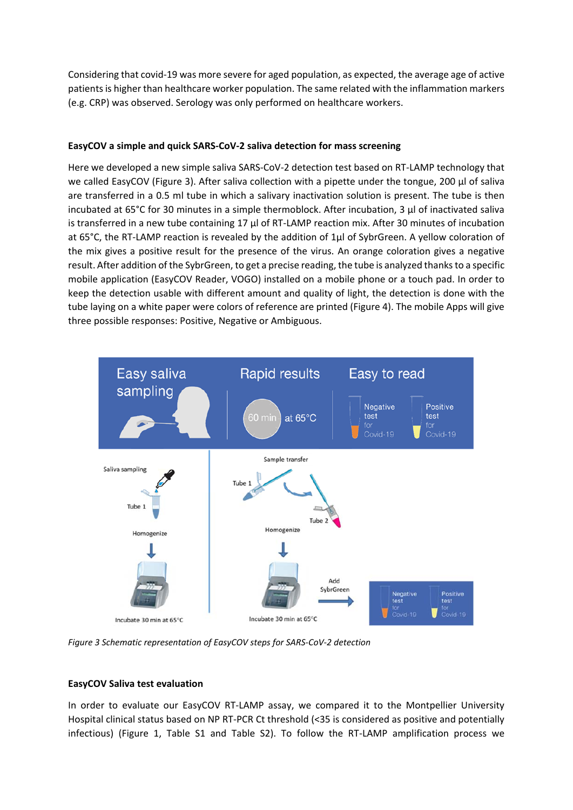Considering that covid‐19 was more severe for aged population, as expected, the average age of active patients is higher than healthcare worker population. The same related with the inflammation markers (e.g. CRP) was observed. Serology was only performed on healthcare workers.

## **EasyCOV a simple and quick SARS‐CoV‐2 saliva detection for mass screening**

Here we developed a new simple saliva SARS‐CoV‐2 detection test based on RT‐LAMP technology that we called EasyCOV (Figure 3). After saliva collection with a pipette under the tongue, 200 µl of saliva are transferred in a 0.5 ml tube in which a salivary inactivation solution is present. The tube is then incubated at 65°C for 30 minutes in a simple thermoblock. After incubation, 3 µl of inactivated saliva is transferred in a new tube containing 17 µl of RT-LAMP reaction mix. After 30 minutes of incubation at 65°C, the RT‐LAMP reaction is revealed by the addition of 1µl of SybrGreen. A yellow coloration of the mix gives a positive result for the presence of the virus. An orange coloration gives a negative result. After addition of the SybrGreen, to get a precise reading, the tube is analyzed thanks to a specific mobile application (EasyCOV Reader, VOGO) installed on a mobile phone or a touch pad. In order to keep the detection usable with different amount and quality of light, the detection is done with the tube laying on a white paper were colors of reference are printed (Figure 4). The mobile Apps will give three possible responses: Positive, Negative or Ambiguous.



*Figure 3 Schematic representation of EasyCOV steps for SARS‐CoV‐2 detection* 

## **EasyCOV Saliva test evaluation**

In order to evaluate our EasyCOV RT-LAMP assay, we compared it to the Montpellier University Hospital clinical status based on NP RT‐PCR Ct threshold (<35 is considered as positive and potentially infectious) (Figure 1, Table S1 and Table S2). To follow the RT‐LAMP amplification process we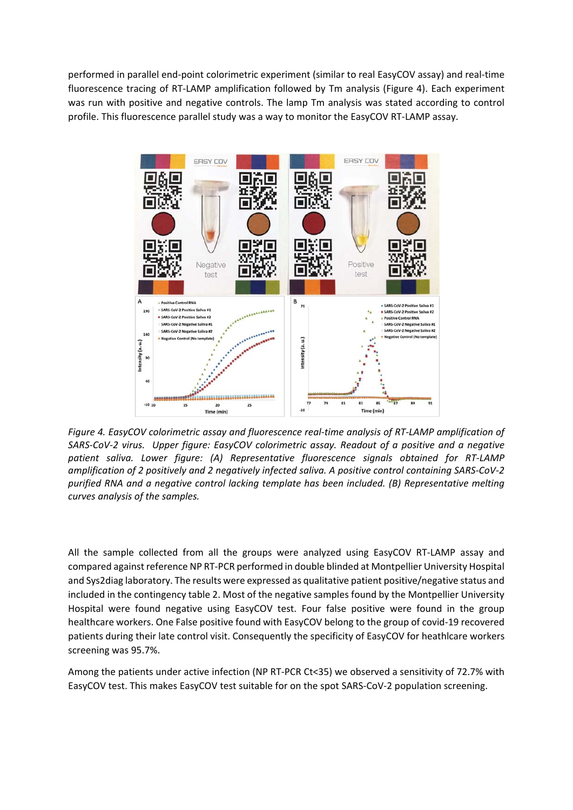performed in parallel end‐point colorimetric experiment (similar to real EasyCOV assay) and real‐time fluorescence tracing of RT-LAMP amplification followed by Tm analysis (Figure 4). Each experiment was run with positive and negative controls. The lamp Tm analysis was stated according to control profile. This fluorescence parallel study was a way to monitor the EasyCOV RT‐LAMP assay.



*Figure 4. EasyCOV colorimetric assay and fluorescence real‐time analysis of RT‐LAMP amplification of SARS‐CoV‐2 virus. Upper figure: EasyCOV colorimetric assay. Readout of a positive and a negative patient saliva. Lower figure: (A) Representative fluorescence signals obtained for RT‐LAMP amplification of 2 positively and 2 negatively infected saliva. A positive control containing SARS‐CoV‐2 purified RNA and a negative control lacking template has been included. (B) Representative melting curves analysis of the samples.* 

All the sample collected from all the groups were analyzed using EasyCOV RT-LAMP assay and compared against reference NP RT‐PCR performed in double blinded at Montpellier University Hospital and Sys2diag laboratory. The results were expressed as qualitative patient positive/negative status and included in the contingency table 2. Most of the negative samples found by the Montpellier University Hospital were found negative using EasyCOV test. Four false positive were found in the group healthcare workers. One False positive found with EasyCOV belong to the group of covid‐19 recovered patients during their late control visit. Consequently the specificity of EasyCOV for heathlcare workers screening was 95.7%.

Among the patients under active infection (NP RT‐PCR Ct<35) we observed a sensitivity of 72.7% with EasyCOV test. This makes EasyCOV test suitable for on the spot SARS‐CoV‐2 population screening.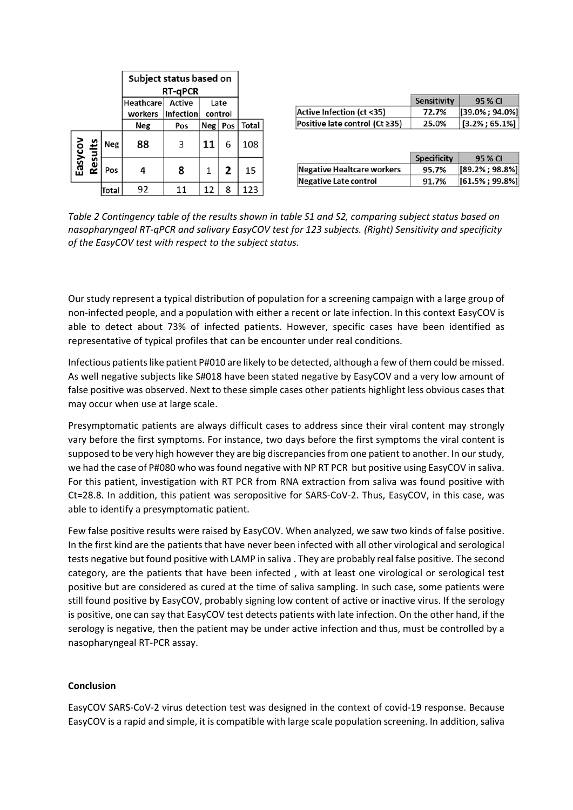|                    |       | Subject status based on<br><b>RT-qPCR</b> |                   |    |   |     |  |  |  |
|--------------------|-------|-------------------------------------------|-------------------|----|---|-----|--|--|--|
|                    |       | Heathcare Active<br>workers<br>Infection  |                   |    |   |     |  |  |  |
|                    |       | <b>Neg</b>                                | Neg<br>Pos<br>Pos |    |   |     |  |  |  |
| Easycov<br>Results | Neg   | 88                                        | 3                 | 11 | 6 | 108 |  |  |  |
|                    | Pos   | 4                                         | 8                 | 1  | 2 | 15  |  |  |  |
|                    | Total | 92                                        | 11                | 12 | 8 | 123 |  |  |  |

|                                | <b>Sensitivity</b> | 95 % CI                |
|--------------------------------|--------------------|------------------------|
| Active Infection (ct <35)      | 72.7%              | $[39.0\%; 94.0\%]$     |
| Positive late control (Ct ≥35) | 25.0%              | $  [3.2\% ; 65.1\%]  $ |

|                            | <b>Specificity</b> | 95 % CI            |
|----------------------------|--------------------|--------------------|
| Negative Healtcare workers | 95.7%              | $[89.2\%; 98.8\%]$ |
| Negative Late control      | 91.7%              | $[61.5\%; 99.8\%]$ |

*Table 2 Contingency table of the results shown in table S1 and S2, comparing subject status based on nasopharyngeal RT‐qPCR and salivary EasyCOV test for 123 subjects. (Right) Sensitivity and specificity of the EasyCOV test with respect to the subject status.* 

Our study represent a typical distribution of population for a screening campaign with a large group of non‐infected people, and a population with either a recent or late infection. In this context EasyCOV is able to detect about 73% of infected patients. However, specific cases have been identified as representative of typical profiles that can be encounter under real conditions.

Infectious patients like patient P#010 are likely to be detected, although a few of them could be missed. As well negative subjects like S#018 have been stated negative by EasyCOV and a very low amount of false positive was observed. Next to these simple cases other patients highlight less obvious cases that may occur when use at large scale.

Presymptomatic patients are always difficult cases to address since their viral content may strongly vary before the first symptoms. For instance, two days before the first symptoms the viral content is supposed to be very high however they are big discrepancies from one patient to another. In our study, we had the case of P#080 who was found negative with NP RT PCR but positive using EasyCOV in saliva. For this patient, investigation with RT PCR from RNA extraction from saliva was found positive with Ct=28.8. In addition, this patient was seropositive for SARS‐CoV‐2. Thus, EasyCOV, in this case, was able to identify a presymptomatic patient.

Few false positive results were raised by EasyCOV. When analyzed, we saw two kinds of false positive. In the first kind are the patients that have never been infected with all other virological and serological tests negative but found positive with LAMP in saliva . They are probably real false positive. The second category, are the patients that have been infected , with at least one virological or serological test positive but are considered as cured at the time of saliva sampling. In such case, some patients were still found positive by EasyCOV, probably signing low content of active or inactive virus. If the serology is positive, one can say that EasyCOV test detects patients with late infection. On the other hand, if the serology is negative, then the patient may be under active infection and thus, must be controlled by a nasopharyngeal RT‐PCR assay.

#### **Conclusion**

EasyCOV SARS‐CoV‐2 virus detection test was designed in the context of covid‐19 response. Because EasyCOV is a rapid and simple, it is compatible with large scale population screening. In addition, saliva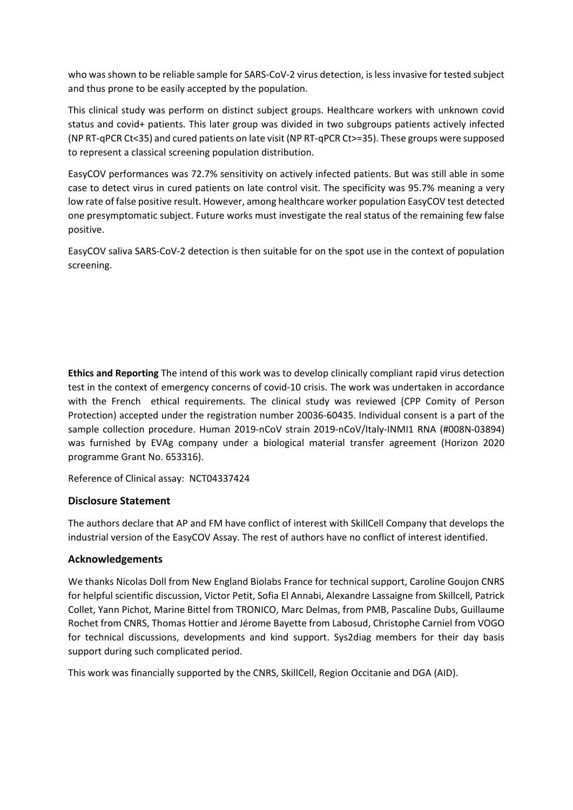who was shown to be reliable sample for SARS‐CoV‐2 virus detection, is less invasive for tested subject and thus prone to be easily accepted by the population.

This clinical study was perform on distinct subject groups. Healthcare workers with unknown covid status and covid+ patients. This later group was divided in two subgroups patients actively infected (NP RT‐qPCR Ct<35) and cured patients on late visit (NP RT‐qPCR Ct>=35). These groups were supposed to represent a classical screening population distribution.

EasyCOV performances was 72.7% sensitivity on actively infected patients. But was still able in some case to detect virus in cured patients on late control visit. The specificity was 95.7% meaning a very low rate of false positive result. However, among healthcare worker population EasyCOV test detected one presymptomatic subject. Future works must investigate the real status of the remaining few false positive.

EasyCOV saliva SARS‐CoV‐2 detection is then suitable for on the spot use in the context of population screening.

**Ethics and Reporting** The intend of this work was to develop clinically compliant rapid virus detection test in the context of emergency concerns of covid-10 crisis. The work was undertaken in accordance with the French ethical requirements. The clinical study was reviewed (CPP Comity of Person Protection) accepted under the registration number 20036‐60435. Individual consent is a part of the sample collection procedure. Human 2019-nCoV strain 2019-nCoV/Italy-INMI1 RNA (#008N-03894) was furnished by EVAg company under a biological material transfer agreement (Horizon 2020 programme Grant No. 653316).

Reference of Clinical assay: NCT04337424

## **Disclosure Statement**

The authors declare that AP and FM have conflict of interest with SkillCell Company that develops the industrial version of the EasyCOV Assay. The rest of authors have no conflict of interest identified.

## **Acknowledgements**

We thanks Nicolas Doll from New England Biolabs France for technical support, Caroline Goujon CNRS for helpful scientific discussion, Victor Petit, Sofia El Annabi, Alexandre Lassaigne from Skillcell, Patrick Collet, Yann Pichot, Marine Bittel from TRONICO, Marc Delmas, from PMB, Pascaline Dubs, Guillaume Rochet from CNRS, Thomas Hottier and Jérome Bayette from Labosud, Christophe Carniel from VOGO for technical discussions, developments and kind support. Sys2diag members for their day basis support during such complicated period.

This work was financially supported by the CNRS, SkillCell, Region Occitanie and DGA (AID).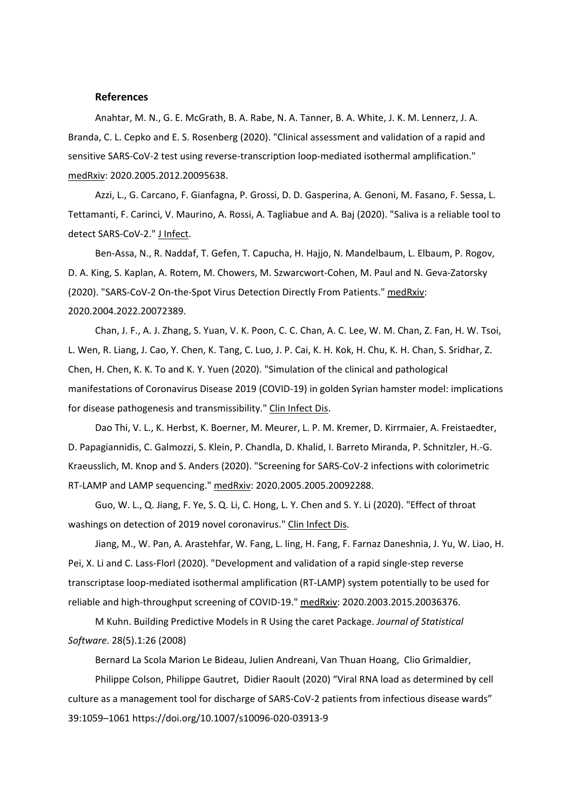#### **References**

Anahtar, M. N., G. E. McGrath, B. A. Rabe, N. A. Tanner, B. A. White, J. K. M. Lennerz, J. A. Branda, C. L. Cepko and E. S. Rosenberg (2020). "Clinical assessment and validation of a rapid and sensitive SARS-CoV-2 test using reverse-transcription loop-mediated isothermal amplification." medRxiv: 2020.2005.2012.20095638.

Azzi, L., G. Carcano, F. Gianfagna, P. Grossi, D. D. Gasperina, A. Genoni, M. Fasano, F. Sessa, L. Tettamanti, F. Carinci, V. Maurino, A. Rossi, A. Tagliabue and A. Baj (2020). "Saliva is a reliable tool to detect SARS‐CoV‐2." J Infect.

Ben‐Assa, N., R. Naddaf, T. Gefen, T. Capucha, H. Hajjo, N. Mandelbaum, L. Elbaum, P. Rogov, D. A. King, S. Kaplan, A. Rotem, M. Chowers, M. Szwarcwort‐Cohen, M. Paul and N. Geva‐Zatorsky (2020). "SARS‐CoV‐2 On‐the‐Spot Virus Detection Directly From Patients." medRxiv: 2020.2004.2022.20072389.

Chan, J. F., A. J. Zhang, S. Yuan, V. K. Poon, C. C. Chan, A. C. Lee, W. M. Chan, Z. Fan, H. W. Tsoi, L. Wen, R. Liang, J. Cao, Y. Chen, K. Tang, C. Luo, J. P. Cai, K. H. Kok, H. Chu, K. H. Chan, S. Sridhar, Z. Chen, H. Chen, K. K. To and K. Y. Yuen (2020). "Simulation of the clinical and pathological manifestations of Coronavirus Disease 2019 (COVID‐19) in golden Syrian hamster model: implications for disease pathogenesis and transmissibility." Clin Infect Dis.

Dao Thi, V. L., K. Herbst, K. Boerner, M. Meurer, L. P. M. Kremer, D. Kirrmaier, A. Freistaedter, D. Papagiannidis, C. Galmozzi, S. Klein, P. Chandla, D. Khalid, I. Barreto Miranda, P. Schnitzler, H.‐G. Kraeusslich, M. Knop and S. Anders (2020). "Screening for SARS‐CoV‐2 infections with colorimetric RT‐LAMP and LAMP sequencing." medRxiv: 2020.2005.2005.20092288.

Guo, W. L., Q. Jiang, F. Ye, S. Q. Li, C. Hong, L. Y. Chen and S. Y. Li (2020). "Effect of throat washings on detection of 2019 novel coronavirus." Clin Infect Dis.

Jiang, M., W. Pan, A. Arastehfar, W. Fang, L. ling, H. Fang, F. Farnaz Daneshnia, J. Yu, W. Liao, H. Pei, X. Li and C. Lass‐Florl (2020). "Development and validation of a rapid single‐step reverse transcriptase loop‐mediated isothermal amplification (RT‐LAMP) system potentially to be used for reliable and high-throughput screening of COVID-19." medRxiv: 2020.2003.2015.20036376.

M Kuhn. Building Predictive Models in R Using the caret Package. *Journal of Statistical Software*. 28(5).1:26 (2008)

Bernard La Scola Marion Le Bideau, Julien Andreani, Van Thuan Hoang, Clio Grimaldier,

Philippe Colson, Philippe Gautret, Didier Raoult (2020) "Viral RNA load as determined by cell culture as a management tool for discharge of SARS‐CoV‐2 patients from infectious disease wards" 39:1059–1061 https://doi.org/10.1007/s10096‐020‐03913‐9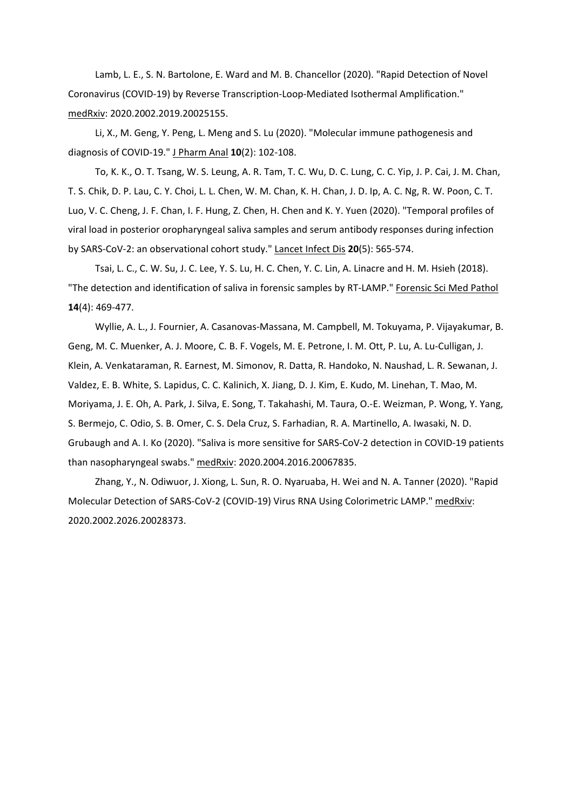Lamb, L. E., S. N. Bartolone, E. Ward and M. B. Chancellor (2020). "Rapid Detection of Novel Coronavirus (COVID‐19) by Reverse Transcription‐Loop‐Mediated Isothermal Amplification." medRxiv: 2020.2002.2019.20025155.

Li, X., M. Geng, Y. Peng, L. Meng and S. Lu (2020). "Molecular immune pathogenesis and diagnosis of COVID‐19." J Pharm Anal **10**(2): 102‐108.

To, K. K., O. T. Tsang, W. S. Leung, A. R. Tam, T. C. Wu, D. C. Lung, C. C. Yip, J. P. Cai, J. M. Chan, T. S. Chik, D. P. Lau, C. Y. Choi, L. L. Chen, W. M. Chan, K. H. Chan, J. D. Ip, A. C. Ng, R. W. Poon, C. T. Luo, V. C. Cheng, J. F. Chan, I. F. Hung, Z. Chen, H. Chen and K. Y. Yuen (2020). "Temporal profiles of viral load in posterior oropharyngeal saliva samples and serum antibody responses during infection by SARS‐CoV‐2: an observational cohort study." Lancet Infect Dis **20**(5): 565‐574.

Tsai, L. C., C. W. Su, J. C. Lee, Y. S. Lu, H. C. Chen, Y. C. Lin, A. Linacre and H. M. Hsieh (2018). "The detection and identification of saliva in forensic samples by RT‐LAMP." Forensic Sci Med Pathol **14**(4): 469‐477.

Wyllie, A. L., J. Fournier, A. Casanovas‐Massana, M. Campbell, M. Tokuyama, P. Vijayakumar, B. Geng, M. C. Muenker, A. J. Moore, C. B. F. Vogels, M. E. Petrone, I. M. Ott, P. Lu, A. Lu‐Culligan, J. Klein, A. Venkataraman, R. Earnest, M. Simonov, R. Datta, R. Handoko, N. Naushad, L. R. Sewanan, J. Valdez, E. B. White, S. Lapidus, C. C. Kalinich, X. Jiang, D. J. Kim, E. Kudo, M. Linehan, T. Mao, M. Moriyama, J. E. Oh, A. Park, J. Silva, E. Song, T. Takahashi, M. Taura, O.‐E. Weizman, P. Wong, Y. Yang, S. Bermejo, C. Odio, S. B. Omer, C. S. Dela Cruz, S. Farhadian, R. A. Martinello, A. Iwasaki, N. D. Grubaugh and A. I. Ko (2020). "Saliva is more sensitive for SARS‐CoV‐2 detection in COVID‐19 patients than nasopharyngeal swabs." medRxiv: 2020.2004.2016.20067835.

Zhang, Y., N. Odiwuor, J. Xiong, L. Sun, R. O. Nyaruaba, H. Wei and N. A. Tanner (2020). "Rapid Molecular Detection of SARS‐CoV‐2 (COVID‐19) Virus RNA Using Colorimetric LAMP." medRxiv: 2020.2002.2026.20028373.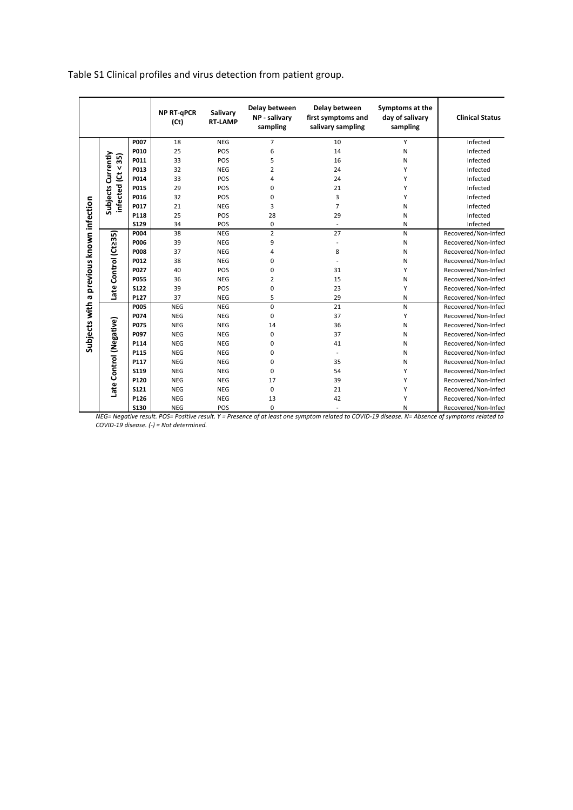Table S1 Clinical profiles and virus detection from patient group.

|                                          |                                       |             | <b>NP RT-gPCR</b><br>(Ct) | Salivary<br><b>RT-LAMP</b> | Delay between<br>NP - salivary<br>sampling | Delay between<br>first symptoms and<br>salivary sampling | Symptoms at the<br>day of salivary<br>sampling | <b>Clinical Status</b> |
|------------------------------------------|---------------------------------------|-------------|---------------------------|----------------------------|--------------------------------------------|----------------------------------------------------------|------------------------------------------------|------------------------|
|                                          |                                       | P007        | 18                        | <b>NEG</b>                 | $\overline{7}$                             | 10                                                       | Y                                              | Infected               |
|                                          |                                       | P010        | 25                        | POS                        | 6                                          | 14                                                       | Ν                                              | Infected               |
|                                          |                                       | P011        | 33                        | POS                        | 5                                          | 16                                                       | N                                              | Infected               |
|                                          |                                       | P013        | 32                        | <b>NEG</b>                 | 2                                          | 24                                                       | Y                                              | Infected               |
|                                          | Currently                             | P014        | 33                        | POS                        | 4                                          | 24                                                       | Y                                              | Infected               |
|                                          |                                       | P015        | 29                        | POS                        | 0                                          | 21                                                       | Y                                              | Infected               |
|                                          | infected (Ct < 35)<br><b>Subjects</b> | P016        | 32                        | POS                        | 0                                          | 3                                                        | Y                                              | Infected               |
|                                          |                                       | P017        | 21                        | <b>NEG</b>                 | 3                                          | $\overline{7}$                                           | Ν                                              | Infected               |
|                                          |                                       | P118        | 25                        | POS                        | 28                                         | 29                                                       | N                                              | Infected               |
|                                          |                                       | <b>S129</b> | 34                        | POS                        | 0                                          | $\overline{\phantom{a}}$                                 | Ν                                              | Infected               |
| Subjects with a previous known infection |                                       | P004        | 38                        | <b>NEG</b>                 | $\overline{2}$                             | 27                                                       | N                                              | Recovered/Non-Infect   |
|                                          | Late Control (Ct235)                  | P006        | 39                        | <b>NEG</b>                 | 9                                          |                                                          | Ν                                              | Recovered/Non-Infect   |
|                                          |                                       | <b>P008</b> | 37                        | <b>NEG</b>                 | 4                                          | 8                                                        | Ν                                              | Recovered/Non-Infect   |
|                                          |                                       | P012        | 38                        | <b>NEG</b>                 | 0                                          |                                                          | N                                              | Recovered/Non-Infect   |
|                                          |                                       | P027        | 40                        | POS                        | 0                                          | 31                                                       | Y                                              | Recovered/Non-Infect   |
|                                          |                                       | <b>P055</b> | 36                        | <b>NEG</b>                 | $\overline{2}$                             | 15                                                       | Ν                                              | Recovered/Non-Infect   |
|                                          |                                       | <b>S122</b> | 39                        | POS                        | 0                                          | 23                                                       | Υ                                              | Recovered/Non-Infect   |
|                                          |                                       | P127        | 37                        | <b>NEG</b>                 | 5                                          | 29                                                       | N                                              | Recovered/Non-Infect   |
|                                          |                                       | <b>P005</b> | <b>NEG</b>                | <b>NEG</b>                 | 0                                          | 21                                                       | N                                              | Recovered/Non-Infect   |
|                                          |                                       | P074        | <b>NEG</b>                | <b>NEG</b>                 | 0                                          | 37                                                       | Y                                              | Recovered/Non-Infect   |
|                                          |                                       | P075        | <b>NEG</b>                | <b>NEG</b>                 | 14                                         | 36                                                       | N                                              | Recovered/Non-Infect   |
|                                          |                                       | P097        | <b>NEG</b>                | <b>NEG</b>                 | 0                                          | 37                                                       | Ν                                              | Recovered/Non-Infect   |
|                                          |                                       | P114        | <b>NEG</b>                | <b>NEG</b>                 | 0                                          | 41                                                       | N                                              | Recovered/Non-Infect   |
|                                          |                                       | P115        | <b>NEG</b>                | <b>NEG</b>                 | 0                                          |                                                          | Ν                                              | Recovered/Non-Infect   |
|                                          |                                       | P117        | <b>NEG</b>                | <b>NEG</b>                 | 0                                          | 35                                                       | Ν                                              | Recovered/Non-Infect   |
|                                          |                                       | <b>S119</b> | <b>NEG</b>                | <b>NEG</b>                 | 0                                          | 54                                                       | Y                                              | Recovered/Non-Infect   |
|                                          | Late Control (Negative)               | P120        | <b>NEG</b>                | <b>NEG</b>                 | 17                                         | 39                                                       | Υ                                              | Recovered/Non-Infect   |
|                                          |                                       | <b>S121</b> | <b>NEG</b>                | <b>NEG</b>                 | 0                                          | 21                                                       | Υ                                              | Recovered/Non-Infect   |
|                                          |                                       | P126        | <b>NEG</b>                | <b>NEG</b>                 | 13                                         | 42                                                       | Υ                                              | Recovered/Non-Infect   |
|                                          |                                       | <b>S130</b> | <b>NEG</b>                | POS                        | 0                                          | ٠                                                        | N                                              | Recovered/Non-Infect   |

*NEG= Negative result. POS= Positive result. Y = Presence of at least one symptom related to COVID‐19 disease. N= Absence of symptoms related to COVID‐19 disease. (‐) = Not determined.*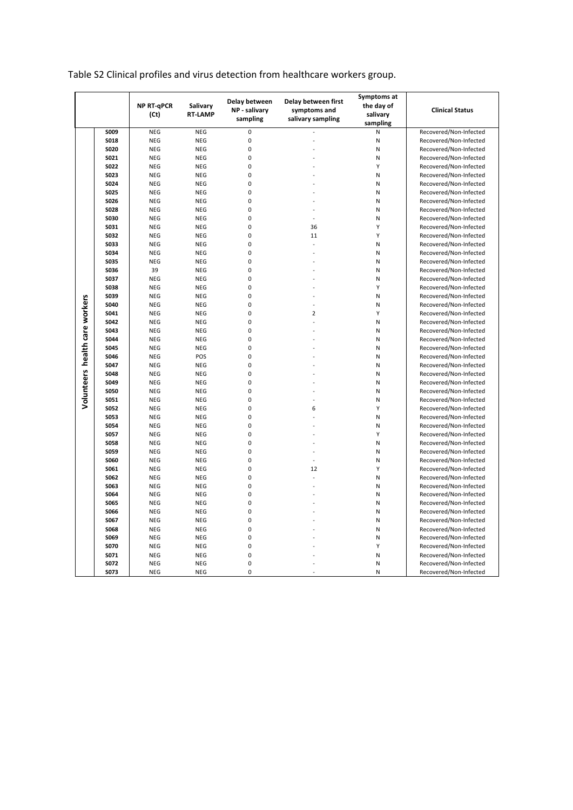|                                |              | <b>NP RT-qPCR</b><br>(Ct) | Salivary<br><b>RT-LAMP</b> | Delay between<br>NP - salivary<br>sampling | Delay between first<br>symptoms and<br>salivary sampling | Symptoms at<br>the day of<br>salivary<br>sampling | <b>Clinical Status</b> |
|--------------------------------|--------------|---------------------------|----------------------------|--------------------------------------------|----------------------------------------------------------|---------------------------------------------------|------------------------|
|                                | <b>SO09</b>  | <b>NEG</b>                | <b>NEG</b>                 | $\mathbf 0$                                |                                                          | N                                                 | Recovered/Non-Infected |
|                                | <b>SO18</b>  | NEG                       | <b>NEG</b>                 | 0                                          |                                                          | N                                                 | Recovered/Non-Infected |
|                                | <b>SO20</b>  | <b>NEG</b>                | <b>NEG</b>                 | 0                                          |                                                          | N                                                 | Recovered/Non-Infected |
|                                | S021         | <b>NEG</b>                | <b>NEG</b>                 | $\mathbf 0$                                |                                                          | N                                                 | Recovered/Non-Infected |
|                                | <b>SO22</b>  | <b>NEG</b>                | <b>NEG</b>                 | $\mathbf 0$                                |                                                          | Υ                                                 | Recovered/Non-Infected |
|                                | S023         | <b>NEG</b>                | <b>NEG</b>                 | 0                                          |                                                          | N                                                 | Recovered/Non-Infected |
|                                | S024         | <b>NEG</b>                | <b>NEG</b>                 | 0                                          |                                                          | N                                                 | Recovered/Non-Infected |
|                                | <b>SO25</b>  | <b>NEG</b>                | <b>NEG</b>                 | 0                                          |                                                          | N                                                 | Recovered/Non-Infected |
|                                | S026         | <b>NEG</b>                | <b>NEG</b>                 | 0                                          |                                                          | N                                                 | Recovered/Non-Infected |
|                                | <b>SO28</b>  | <b>NEG</b>                | <b>NEG</b>                 | $\mathbf 0$                                |                                                          | N                                                 | Recovered/Non-Infected |
|                                | <b>S030</b>  | <b>NEG</b>                | <b>NEG</b>                 | 0                                          |                                                          | N                                                 | Recovered/Non-Infected |
|                                | S031         | <b>NEG</b>                | <b>NEG</b>                 | 0                                          | 36                                                       | Υ                                                 | Recovered/Non-Infected |
|                                | <b>SO32</b>  | <b>NEG</b>                | <b>NEG</b>                 | 0                                          | 11                                                       | Υ                                                 | Recovered/Non-Infected |
|                                | <b>SO33</b>  | <b>NEG</b>                | <b>NEG</b>                 | $\mathbf 0$                                |                                                          | N                                                 | Recovered/Non-Infected |
|                                | S034         | <b>NEG</b>                | <b>NEG</b>                 | $\mathbf 0$                                |                                                          | N                                                 | Recovered/Non-Infected |
|                                | <b>S035</b>  | <b>NEG</b>                | <b>NEG</b>                 | 0                                          |                                                          | N                                                 | Recovered/Non-Infected |
|                                | <b>SO36</b>  | 39                        | <b>NEG</b>                 | 0                                          |                                                          | N                                                 | Recovered/Non-Infected |
|                                | S037         | <b>NEG</b>                | <b>NEG</b>                 | $\mathbf 0$                                |                                                          | N                                                 | Recovered/Non-Infected |
|                                | <b>SO38</b>  | <b>NEG</b>                | <b>NEG</b>                 | $\mathbf 0$                                |                                                          | Υ                                                 | Recovered/Non-Infected |
|                                | <b>S039</b>  | <b>NEG</b>                | <b>NEG</b>                 | 0                                          |                                                          | N                                                 | Recovered/Non-Infected |
|                                | S040         | <b>NEG</b>                | <b>NEG</b>                 | 0                                          |                                                          | N                                                 | Recovered/Non-Infected |
|                                | S041         | <b>NEG</b>                | <b>NEG</b>                 | 0                                          | $\overline{2}$                                           | Υ                                                 | Recovered/Non-Infected |
|                                | S042         | <b>NEG</b>                | <b>NEG</b>                 | 0                                          |                                                          | N                                                 | Recovered/Non-Infected |
|                                | S043         | <b>NEG</b>                | <b>NEG</b>                 | $\mathbf 0$                                |                                                          | N                                                 | Recovered/Non-Infected |
|                                | <b>S044</b>  | <b>NEG</b>                | <b>NEG</b>                 | 0                                          |                                                          | N                                                 | Recovered/Non-Infected |
|                                | <b>SO45</b>  | <b>NEG</b>                | <b>NEG</b>                 | 0                                          |                                                          | N                                                 | Recovered/Non-Infected |
| Volunteers health care workers | S046         | <b>NEG</b>                | POS                        | 0                                          |                                                          | N                                                 | Recovered/Non-Infected |
|                                | <b>S047</b>  | <b>NEG</b>                | <b>NEG</b>                 | $\mathbf 0$                                |                                                          | N                                                 | Recovered/Non-Infected |
|                                | <b>SO48</b>  | <b>NEG</b>                | <b>NEG</b>                 | 0                                          |                                                          | N                                                 | Recovered/Non-Infected |
|                                | S049         | <b>NEG</b>                | <b>NEG</b>                 | 0                                          |                                                          | N                                                 | Recovered/Non-Infected |
|                                | <b>S050</b>  | <b>NEG</b>                | <b>NEG</b>                 | 0                                          |                                                          | N                                                 | Recovered/Non-Infected |
|                                | S051         | <b>NEG</b>                | <b>NEG</b>                 | $\mathbf 0$                                |                                                          | N                                                 | Recovered/Non-Infected |
|                                | <b>SO52</b>  | <b>NEG</b>                | <b>NEG</b>                 | $\mathbf 0$                                | 6                                                        | Υ                                                 | Recovered/Non-Infected |
|                                | <b>SO53</b>  | <b>NEG</b>                | <b>NEG</b>                 | 0                                          |                                                          | N                                                 | Recovered/Non-Infected |
|                                | <b>S054</b>  | <b>NEG</b>                | <b>NEG</b>                 | 0                                          |                                                          | N                                                 | Recovered/Non-Infected |
|                                | <b>S057</b>  | <b>NEG</b>                | <b>NEG</b>                 | 0                                          |                                                          | Υ                                                 | Recovered/Non-Infected |
|                                | <b>SO58</b>  | <b>NEG</b>                | <b>NEG</b>                 | 0                                          |                                                          | N                                                 | Recovered/Non-Infected |
|                                | <b>SO59</b>  | <b>NEG</b>                | <b>NEG</b>                 | $\mathbf 0$                                |                                                          | N                                                 | Recovered/Non-Infected |
|                                | <b>S060</b>  | <b>NEG</b>                | <b>NEG</b>                 | 0                                          |                                                          | N                                                 | Recovered/Non-Infected |
|                                | S061         | <b>NEG</b>                | <b>NEG</b>                 | 0                                          | 12                                                       | Υ                                                 | Recovered/Non-Infected |
|                                | <b>SO62</b>  | <b>NEG</b>                | <b>NEG</b>                 | 0                                          |                                                          | N                                                 | Recovered/Non-Infected |
|                                | S063         | <b>NEG</b>                | <b>NEG</b>                 | 0                                          |                                                          | N                                                 | Recovered/Non-Infected |
|                                | S064         | <b>NEG</b>                | <b>NEG</b>                 | 0<br>0                                     |                                                          | N                                                 | Recovered/Non-Infected |
|                                | <b>SO65</b>  | <b>NEG</b>                | <b>NEG</b>                 | 0                                          |                                                          | N                                                 | Recovered/Non-Infected |
|                                | <b>SO66</b>  | <b>NEG</b>                | <b>NEG</b>                 | $\mathbf 0$                                |                                                          | N                                                 | Recovered/Non-Infected |
|                                | S067         | <b>NEG</b>                | <b>NEG</b>                 | $\mathbf 0$                                |                                                          | N                                                 | Recovered/Non-Infected |
|                                | <b>SO68</b>  | <b>NEG</b>                | <b>NEG</b>                 | $\mathbf 0$                                |                                                          | N                                                 | Recovered/Non-Infected |
|                                | S069         | <b>NEG</b>                | <b>NEG</b>                 | 0                                          |                                                          | N                                                 | Recovered/Non-Infected |
|                                | <b>S070</b>  | <b>NEG</b>                | <b>NEG</b>                 | 0                                          |                                                          | Υ                                                 | Recovered/Non-Infected |
|                                | S071<br>S072 | <b>NEG</b>                | <b>NEG</b>                 | 0                                          |                                                          | N<br>N                                            | Recovered/Non-Infected |
|                                |              | <b>NEG</b>                | <b>NEG</b>                 | $\mathbf 0$                                |                                                          |                                                   | Recovered/Non-Infected |
|                                | S073         | <b>NEG</b>                | <b>NEG</b>                 |                                            |                                                          | N                                                 | Recovered/Non-Infected |

# Table S2 Clinical profiles and virus detection from healthcare workers group.